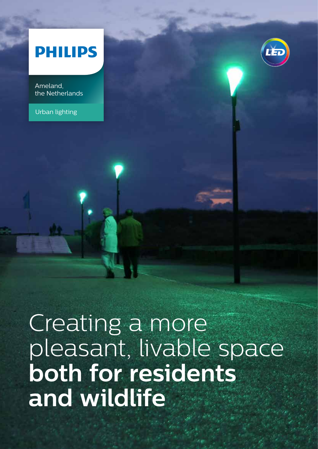## **PHILIPS**

Ameland, the Netherlands

Urban lighting



# Creating a more pleasant, livable space **both for residents and wildlife**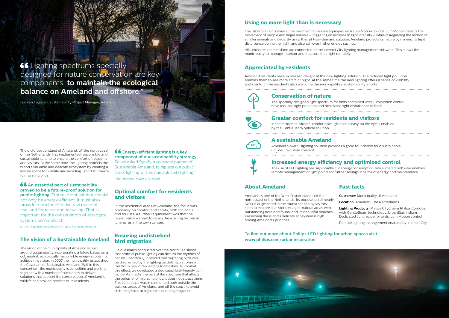#### **About Ameland**

Ameland is one of the West Frisian Islands off the north coast of the Netherlands. Its population of nearly 3700 is augmented in the tourist season by visitors keen to explore its historic villages, natural areas with outstanding flora and fauna, and its beautiful beaches. Preserving the island's delicate ecosystem is high among Ameland's priorities. **Customer:** Municipality of Ameland **Location:** Ameland, The Netherlands **Lighting Products:** Philips CityCharm Philips Cordoba with GentleBeam technology, UrbanStar, Iridium, Dedicated light recipe for birds, LumiMotion control

#### **Fast facts**

Remote lighting management enabled by Interact City

#### **66** An essential part of sustainability **proved to be a future-proof solution for public lighting.** Future-proof lighting should not only be energy efficient. It must also provide room for effective raw material use, and for reuse and recycling. That is

#### **To find out more about Philips LED lighting for urban spaces visit www.philips.com/urbaninspiration**



The picturesque island of Ameland, off the north coast of the Netherlands, has implemented responsible and sustainable lighting to ensure the comfort of residents and visitors. At the same time, the lighting protects the island's valuable and delicate ecosystem by creating a livable space for wildlife and avoiding light disturbance to migrating birds.

#### **66** Energy-efficient lighting is a key **component of our sustainability strategy.**

important for the conservation of ecological systems on Ameland."

Luc van Tiggelen, Sustainability Project Manager, Ameland

#### **The vision of a Sustainable Ameland**

The vision of the municipality of Ameland is built around sustainability, incorporating a future based on a CO2 neutral, ecologically responsible energy supply. To achieve this vision, in 2007 the municipality established the Covenant of Sustainable Ameland. Within this consortium, the municipality is consulting and working together with a number of companies to deliver solutions that support the conservation of Ameland's wildlife and provide comfort to its residents.

Ameland's overall lighting solution provides a good foundation for a sustainable, CO<sub>2</sub> neutral future concept.

**66** Lighting spectrums specially designed for nature conservation are key components **to maintain the ecological balance on Ameland and offshore."**

> So we asked Signify, a covenant partner of Sustainable Ameland, to replace our public street lighting with sustainable LED lighting." Albert de Hoop, Mayor of Ameland

#### **Optimal comfort for residents and visitors**

In the residential areas of Ameland, the focus was obviously on comfort and safety, both for locals and tourists. A further requirement was that the municipality wanted to retain the existing historical luminaires in the town centers.

#### **Ensuring undisturbed bird migration**

Field research conducted over the North Sea shows that artificial public lighting can disturb the rhythms of nature. Specifically, it proved that migrating birds can be disoriented by the lighting on drilling platforms in the North Sea, often leading to fatalities. To combat this effect, we developed a dedicated bird-friendly light recipe. As it lacks the part of the spectrum that affects the behavior of migrating birds, it does not attract them. This light recipe was implemented both outside the built-up areas of Ameland, and off the coast, to avoid disturbing birds at night-time or during migration.



In the residential streets, comfortable light that is easy on the eye is enabled by the GentleBeam optical solution.



#### **Conservation of nature**

The specially designed light spectrum for birds combined with LumiMotion control have reduced light pollution and minimized light disturbance to birds. 

#### **A sustainable Ameland**

### **Increased energy efficiency and optimized control**

The use of LED lighting has significantly cut energy consumption, while Interact software enables remote management of light points for further savings in terms of energy and maintenance.

Luc van Tiggelen, Sustainability Project Manager, Ameland

## **Using no more light than is necessary**

The UrbanStar luminaires at the beach entrances are equipped with LumiMotion control. LumiMotion detects the movement of people and larger animals – triggering an increase in light intensity – while disregarding the motion of smaller animals and birds. By using this light-on-demand solution, Ameland protects its nature by minimizing light disturbance during the night, and also achieves higher energy savings.

All luminaires on the island are connected to the Interact City lighting management software. This allows the municipality to manage, monitor and measure their light remotely.

#### **Appreciated by residents**

Ameland residents have expressed delight at the new lighting solution. The reduced light pollution enables them to see more stars at night. At the same time the new lighting offers a sense of visibility and comfort. The residents also welcome the municipality's sustainability efforts.